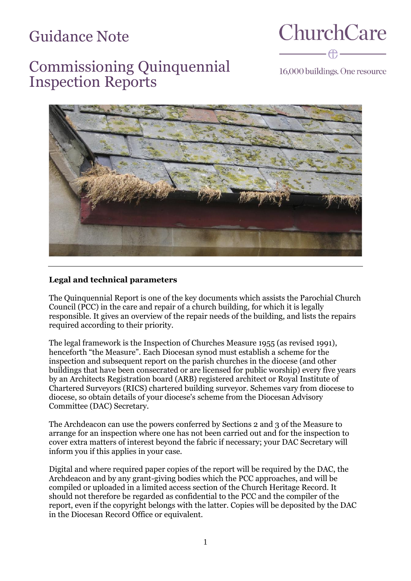# Guidance Note

**ChurchCare** 

## Commissioning Quinquennial Inspection Reports

16,000 buildings. One resource



## **Legal and technical parameters**

The Quinquennial Report is one of the key documents which assists the Parochial Church Council (PCC) in the care and repair of a church building, for which it is legally responsible. It gives an overview of the repair needs of the building, and lists the repairs required according to their priority.

The legal framework is the Inspection of Churches Measure 1955 (as revised 1991), henceforth "the Measure". Each Diocesan synod must establish a scheme for the inspection and subsequent report on the parish churches in the diocese (and other buildings that have been consecrated or are licensed for public worship) every five years by an Architects Registration board (ARB) registered architect or Royal Institute of Chartered Surveyors (RICS) chartered building surveyor. Schemes vary from diocese to diocese, so obtain details of your diocese's scheme from the Diocesan Advisory Committee (DAC) Secretary.

The Archdeacon can use the powers conferred by Sections 2 and 3 of the Measure to arrange for an inspection where one has not been carried out and for the inspection to cover extra matters of interest beyond the fabric if necessary; your DAC Secretary will inform you if this applies in your case.

Digital and where required paper copies of the report will be required by the DAC, the Archdeacon and by any grant-giving bodies which the PCC approaches, and will be compiled or uploaded in a limited access section of the Church Heritage Record. It should not therefore be regarded as confidential to the PCC and the compiler of the report, even if the copyright belongs with the latter. Copies will be deposited by the DAC in the Diocesan Record Office or equivalent.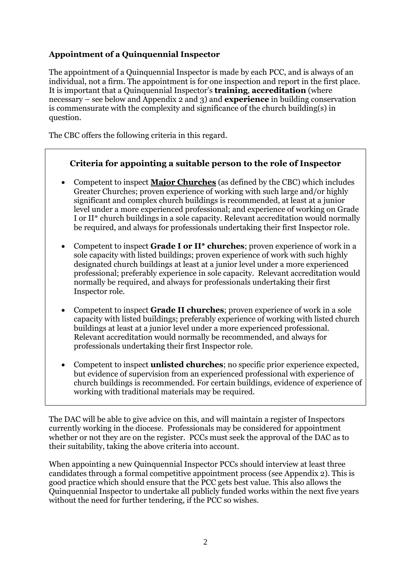## **Appointment of a Quinquennial Inspector**

The appointment of a Quinquennial Inspector is made by each PCC, and is always of an individual, not a firm. The appointment is for one inspection and report in the first place. It is important that a Quinquennial Inspector's **training**, **accreditation** (where necessary – see below and Appendix 2 and 3) and **experience** in building conservation is commensurate with the complexity and significance of the church building(s) in question.

The CBC offers the following criteria in this regard.

## **Criteria for appointing a suitable person to the role of Inspector**

- Competent to inspect **Major Churches** (as defined by the CBC) which includes Greater Churches; proven experience of working with such large and/or highly significant and complex church buildings is recommended, at least at a junior level under a more experienced professional; and experience of working on Grade I or II\* church buildings in a sole capacity. Relevant accreditation would normally be required, and always for professionals undertaking their first Inspector role.
- Competent to inspect **Grade I or II\* churches**; proven experience of work in a sole capacity with listed buildings; proven experience of work with such highly designated church buildings at least at a junior level under a more experienced professional; preferably experience in sole capacity. Relevant accreditation would normally be required, and always for professionals undertaking their first Inspector role.
- Competent to inspect **Grade II churches**; proven experience of work in a sole capacity with listed buildings; preferably experience of working with listed church buildings at least at a junior level under a more experienced professional. Relevant accreditation would normally be recommended, and always for professionals undertaking their first Inspector role.
- Competent to inspect **unlisted churches**; no specific prior experience expected, but evidence of supervision from an experienced professional with experience of church buildings is recommended. For certain buildings, evidence of experience of working with traditional materials may be required.

The DAC will be able to give advice on this, and will maintain a register of Inspectors currently working in the diocese. Professionals may be considered for appointment whether or not they are on the register. PCCs must seek the approval of the DAC as to their suitability, taking the above criteria into account.

When appointing a new Quinquennial Inspector PCCs should interview at least three candidates through a formal competitive appointment process (see Appendix 2). This is good practice which should ensure that the PCC gets best value. This also allows the Quinquennial Inspector to undertake all publicly funded works within the next five years without the need for further tendering, if the PCC so wishes.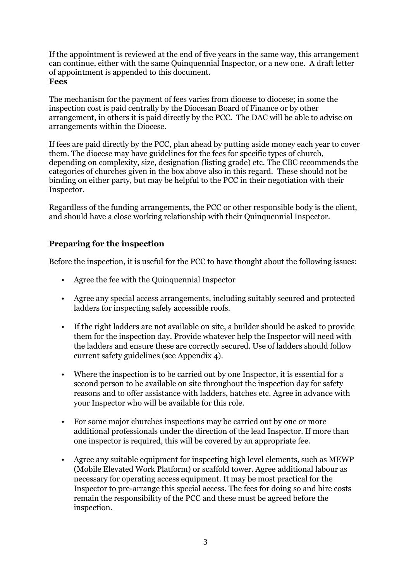If the appointment is reviewed at the end of five years in the same way, this arrangement can continue, either with the same Quinquennial Inspector, or a new one. A draft letter of appointment is appended to this document. **Fees**

The mechanism for the payment of fees varies from diocese to diocese; in some the inspection cost is paid centrally by the Diocesan Board of Finance or by other arrangement, in others it is paid directly by the PCC. The DAC will be able to advise on arrangements within the Diocese.

If fees are paid directly by the PCC, plan ahead by putting aside money each year to cover them. The diocese may have guidelines for the fees for specific types of church, depending on complexity, size, designation (listing grade) etc. The CBC recommends the categories of churches given in the box above also in this regard. These should not be binding on either party, but may be helpful to the PCC in their negotiation with their Inspector.

Regardless of the funding arrangements, the PCC or other responsible body is the client, and should have a close working relationship with their Quinquennial Inspector.

## **Preparing for the inspection**

Before the inspection, it is useful for the PCC to have thought about the following issues:

- Agree the fee with the Quinquennial Inspector
- Agree any special access arrangements, including suitably secured and protected ladders for inspecting safely accessible roofs.
- If the right ladders are not available on site, a builder should be asked to provide them for the inspection day. Provide whatever help the Inspector will need with the ladders and ensure these are correctly secured. Use of ladders should follow current safety guidelines (see Appendix 4).
- Where the inspection is to be carried out by one Inspector, it is essential for a second person to be available on site throughout the inspection day for safety reasons and to offer assistance with ladders, hatches etc. Agree in advance with your Inspector who will be available for this role.
- For some major churches inspections may be carried out by one or more additional professionals under the direction of the lead Inspector. If more than one inspector is required, this will be covered by an appropriate fee.
- Agree any suitable equipment for inspecting high level elements, such as MEWP (Mobile Elevated Work Platform) or scaffold tower. Agree additional labour as necessary for operating access equipment. It may be most practical for the Inspector to pre-arrange this special access. The fees for doing so and hire costs remain the responsibility of the PCC and these must be agreed before the inspection.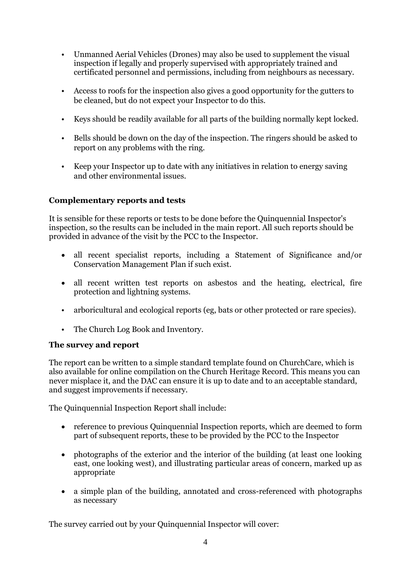- Unmanned Aerial Vehicles (Drones) may also be used to supplement the visual inspection if legally and properly supervised with appropriately trained and certificated personnel and permissions, including from neighbours as necessary.
- Access to roofs for the inspection also gives a good opportunity for the gutters to be cleaned, but do not expect your Inspector to do this.
- Keys should be readily available for all parts of the building normally kept locked.
- Bells should be down on the day of the inspection. The ringers should be asked to report on any problems with the ring.
- Keep your Inspector up to date with any initiatives in relation to energy saving and other environmental issues.

#### **Complementary reports and tests**

It is sensible for these reports or tests to be done before the Quinquennial Inspector's inspection, so the results can be included in the main report. All such reports should be provided in advance of the visit by the PCC to the Inspector.

- all recent specialist reports, including a Statement of Significance and/or Conservation Management Plan if such exist.
- all recent written test reports on asbestos and the heating, electrical, fire protection and lightning systems.
- arboricultural and ecological reports (eg, bats or other protected or rare species).
- The Church Log Book and Inventory.

#### **The survey and report**

The report can be written to a simple standard template found on ChurchCare, which is also available for online compilation on the Church Heritage Record. This means you can never misplace it, and the DAC can ensure it is up to date and to an acceptable standard, and suggest improvements if necessary.

The Quinquennial Inspection Report shall include:

- reference to previous Quinquennial Inspection reports, which are deemed to form part of subsequent reports, these to be provided by the PCC to the Inspector
- photographs of the exterior and the interior of the building (at least one looking east, one looking west), and illustrating particular areas of concern, marked up as appropriate
- a simple plan of the building, annotated and cross-referenced with photographs as necessary

The survey carried out by your Quinquennial Inspector will cover: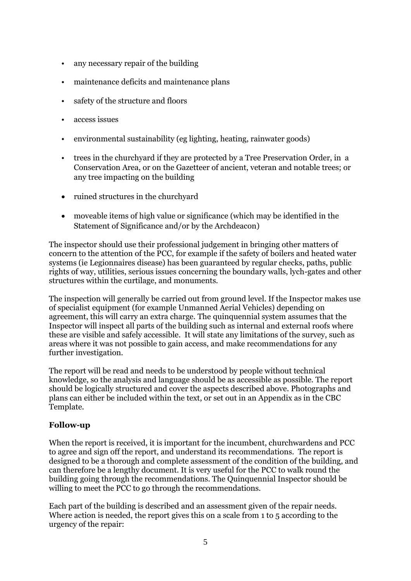- any necessary repair of the building
- maintenance deficits and maintenance plans
- safety of the structure and floors
- access issues
- environmental sustainability (eg lighting, heating, rainwater goods)
- trees in the churchyard if they are protected by a Tree Preservation Order, in a Conservation Area, or on the Gazetteer of ancient, veteran and notable trees; or any tree impacting on the building
- ruined structures in the churchyard
- moveable items of high value or significance (which may be identified in the Statement of Significance and/or by the Archdeacon)

The inspector should use their professional judgement in bringing other matters of concern to the attention of the PCC, for example if the safety of boilers and heated water systems (ie Legionnaires disease) has been guaranteed by regular checks, paths, public rights of way, utilities, serious issues concerning the boundary walls, lych-gates and other structures within the curtilage, and monuments.

The inspection will generally be carried out from ground level. If the Inspector makes use of specialist equipment (for example Unmanned Aerial Vehicles) depending on agreement, this will carry an extra charge. The quinquennial system assumes that the Inspector will inspect all parts of the building such as internal and external roofs where these are visible and safely accessible. It will state any limitations of the survey, such as areas where it was not possible to gain access, and make recommendations for any further investigation.

The report will be read and needs to be understood by people without technical knowledge, so the analysis and language should be as accessible as possible. The report should be logically structured and cover the aspects described above. Photographs and plans can either be included within the text, or set out in an Appendix as in the CBC Template.

#### **Follow-up**

When the report is received, it is important for the incumbent, churchwardens and PCC to agree and sign off the report, and understand its recommendations. The report is designed to be a thorough and complete assessment of the condition of the building, and can therefore be a lengthy document. It is very useful for the PCC to walk round the building going through the recommendations. The Quinquennial Inspector should be willing to meet the PCC to go through the recommendations.

Each part of the building is described and an assessment given of the repair needs. Where action is needed, the report gives this on a scale from 1 to 5 according to the urgency of the repair: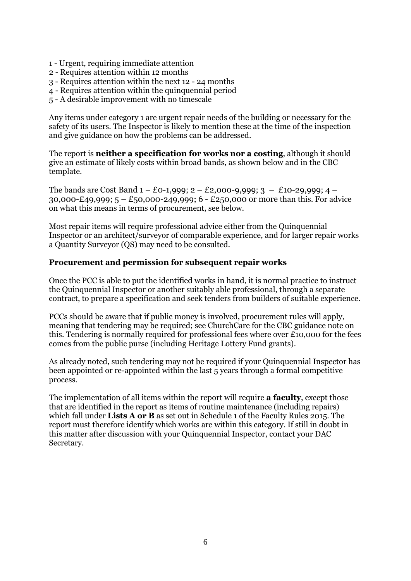- 1 Urgent, requiring immediate attention
- 2 Requires attention within 12 months
- 3 Requires attention within the next 12 24 months
- 4 Requires attention within the quinquennial period
- 5 A desirable improvement with no timescale

Any items under category 1 are urgent repair needs of the building or necessary for the safety of its users. The Inspector is likely to mention these at the time of the inspection and give guidance on how the problems can be addressed.

The report is **neither a specification for works nor a costing**, although it should give an estimate of likely costs within broad bands, as shown below and in the CBC template.

The bands are Cost Band  $1 - E_0 - 1,999$ ;  $2 - E_2,000 - 9,999$ ;  $3 - E_1 - 29,999$ ;  $4 -$ 30,000-£49,999; 5 – £50,000-249,999; 6 - £250,000 or more than this. For advice on what this means in terms of procurement, see below.

Most repair items will require professional advice either from the Quinquennial Inspector or an architect/surveyor of comparable experience, and for larger repair works a Quantity Surveyor (QS) may need to be consulted.

#### **Procurement and permission for subsequent repair works**

Once the PCC is able to put the identified works in hand, it is normal practice to instruct the Quinquennial Inspector or another suitably able professional, through a separate contract, to prepare a specification and seek tenders from builders of suitable experience.

PCCs should be aware that if public money is involved, procurement rules will apply, meaning that tendering may be required; see ChurchCare for the CBC guidance note on this. Tendering is normally required for professional fees where over £10,000 for the fees comes from the public purse (including Heritage Lottery Fund grants).

As already noted, such tendering may not be required if your Quinquennial Inspector has been appointed or re-appointed within the last 5 years through a formal competitive process.

The implementation of all items within the report will require **a faculty**, except those that are identified in the report as items of routine maintenance (including repairs) which fall under **Lists A or B** as set out in Schedule 1 of the Faculty Rules 2015. The report must therefore identify which works are within this category. If still in doubt in this matter after discussion with your Quinquennial Inspector, contact your DAC Secretary.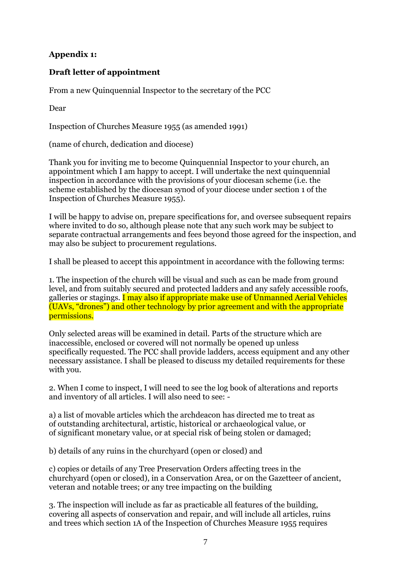#### **Appendix 1:**

#### **Draft letter of appointment**

From a new Quinquennial Inspector to the secretary of the PCC

Dear

Inspection of Churches Measure 1955 (as amended 1991)

(name of church, dedication and diocese)

Thank you for inviting me to become Quinquennial Inspector to your church, an appointment which I am happy to accept. I will undertake the next quinquennial inspection in accordance with the provisions of your diocesan scheme (i.e. the scheme established by the diocesan synod of your diocese under section 1 of the Inspection of Churches Measure 1955).

I will be happy to advise on, prepare specifications for, and oversee subsequent repairs where invited to do so, although please note that any such work may be subject to separate contractual arrangements and fees beyond those agreed for the inspection, and may also be subject to procurement regulations.

I shall be pleased to accept this appointment in accordance with the following terms:

1. The inspection of the church will be visual and such as can be made from ground level, and from suitably secured and protected ladders and any safely accessible roofs, galleries or stagings. I may also if appropriate make use of Unmanned Aerial Vehicles (UAVs, "drones") and other technology by prior agreement and with the appropriate permissions.

Only selected areas will be examined in detail. Parts of the structure which are inaccessible, enclosed or covered will not normally be opened up unless specifically requested. The PCC shall provide ladders, access equipment and any other necessary assistance. I shall be pleased to discuss my detailed requirements for these with you.

2. When I come to inspect, I will need to see the log book of alterations and reports and inventory of all articles. I will also need to see: -

a) a list of movable articles which the archdeacon has directed me to treat as of outstanding architectural, artistic, historical or archaeological value, or of significant monetary value, or at special risk of being stolen or damaged;

b) details of any ruins in the churchyard (open or closed) and

c) copies or details of any Tree Preservation Orders affecting trees in the churchyard (open or closed), in a Conservation Area, or on the Gazetteer of ancient, veteran and notable trees; or any tree impacting on the building

3. The inspection will include as far as practicable all features of the building, covering all aspects of conservation and repair, and will include all articles, ruins and trees which section 1A of the Inspection of Churches Measure 1955 requires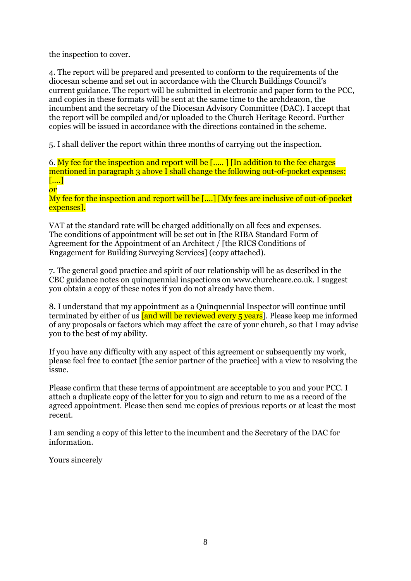the inspection to cover.

4. The report will be prepared and presented to conform to the requirements of the diocesan scheme and set out in accordance with the Church Buildings Council's current guidance. The report will be submitted in electronic and paper form to the PCC, and copies in these formats will be sent at the same time to the archdeacon, the incumbent and the secretary of the Diocesan Advisory Committee (DAC). I accept that the report will be compiled and/or uploaded to the Church Heritage Record. Further copies will be issued in accordance with the directions contained in the scheme.

5. I shall deliver the report within three months of carrying out the inspection.

6. My fee for the inspection and report will be [….. ] [In addition to the fee charges mentioned in paragraph 3 above I shall change the following out-of-pocket expenses: [….] *or*

My fee for the inspection and report will be [....] [My fees are inclusive of out-of-pocket expenses].

VAT at the standard rate will be charged additionally on all fees and expenses. The conditions of appointment will be set out in [the RIBA Standard Form of Agreement for the Appointment of an Architect / [the RICS Conditions of Engagement for Building Surveying Services] (copy attached).

7. The general good practice and spirit of our relationship will be as described in the CBC guidance notes on quinquennial inspections on www.churchcare.co.uk. I suggest you obtain a copy of these notes if you do not already have them.

8. I understand that my appointment as a Quinquennial Inspector will continue until terminated by either of us **[and will be reviewed every 5 years**]. Please keep me informed of any proposals or factors which may affect the care of your church, so that I may advise you to the best of my ability.

If you have any difficulty with any aspect of this agreement or subsequently my work, please feel free to contact [the senior partner of the practice] with a view to resolving the issue.

Please confirm that these terms of appointment are acceptable to you and your PCC. I attach a duplicate copy of the letter for you to sign and return to me as a record of the agreed appointment. Please then send me copies of previous reports or at least the most recent.

I am sending a copy of this letter to the incumbent and the Secretary of the DAC for information.

Yours sincerely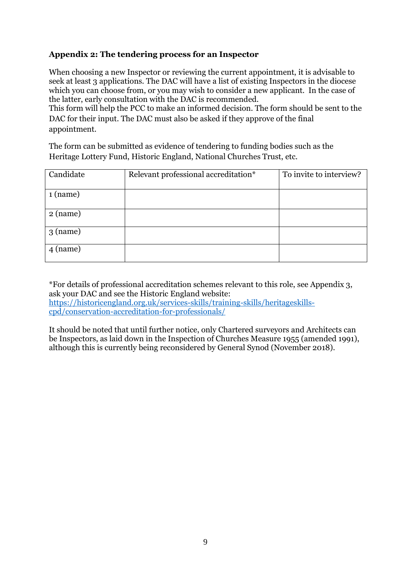#### **Appendix 2: The tendering process for an Inspector**

When choosing a new Inspector or reviewing the current appointment, it is advisable to seek at least 3 applications. The DAC will have a list of existing Inspectors in the diocese which you can choose from, or you may wish to consider a new applicant. In the case of the latter, early consultation with the DAC is recommended.

This form will help the PCC to make an informed decision. The form should be sent to the DAC for their input. The DAC must also be asked if they approve of the final appointment.

The form can be submitted as evidence of tendering to funding bodies such as the Heritage Lottery Fund, Historic England, National Churches Trust, etc.

| Candidate  | Relevant professional accreditation* | To invite to interview? |
|------------|--------------------------------------|-------------------------|
| $1$ (name) |                                      |                         |
| $2$ (name) |                                      |                         |
| $3$ (name) |                                      |                         |
| $4$ (name) |                                      |                         |

\*For details of professional accreditation schemes relevant to this role, see Appendix 3, ask your DAC and see the Historic England website: [https://historicengland.org.uk/services-skills/training-skills/heritageskills](https://historicengland.org.uk/services-skills/training-skills/heritageskills-cpd/conservation-accreditation-for-professionals/)[cpd/conservation-accreditation-for-professionals/](https://historicengland.org.uk/services-skills/training-skills/heritageskills-cpd/conservation-accreditation-for-professionals/)

It should be noted that until further notice, only Chartered surveyors and Architects can be Inspectors, as laid down in the Inspection of Churches Measure 1955 (amended 1991), although this is currently being reconsidered by General Synod (November 2018).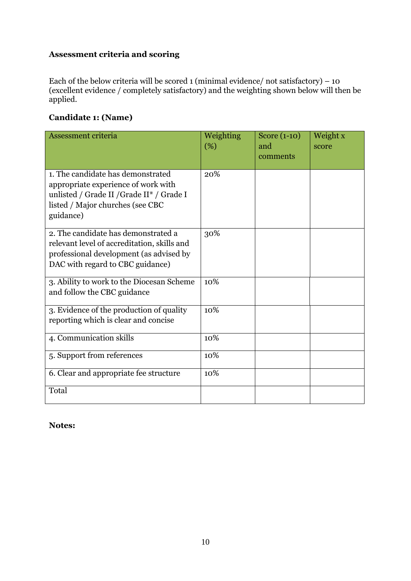### **Assessment criteria and scoring**

Each of the below criteria will be scored 1 (minimal evidence/ not satisfactory)  $-10$ (excellent evidence / completely satisfactory) and the weighting shown below will then be applied.

## **Candidate 1: (Name)**

| Assessment criteria                                                                                                                                                    | Weighting<br>(%) | Score (1-10)<br>and<br>comments | Weight x<br>score |
|------------------------------------------------------------------------------------------------------------------------------------------------------------------------|------------------|---------------------------------|-------------------|
| 1. The candidate has demonstrated<br>appropriate experience of work with<br>unlisted / Grade II / Grade II* / Grade I<br>listed / Major churches (see CBC<br>guidance) | 20%              |                                 |                   |
| 2. The candidate has demonstrated a<br>relevant level of accreditation, skills and<br>professional development (as advised by<br>DAC with regard to CBC guidance)      | 30%              |                                 |                   |
| 3. Ability to work to the Diocesan Scheme<br>and follow the CBC guidance                                                                                               | 10%              |                                 |                   |
| 3. Evidence of the production of quality<br>reporting which is clear and concise                                                                                       | 10%              |                                 |                   |
| 4. Communication skills                                                                                                                                                | 10%              |                                 |                   |
| 5. Support from references                                                                                                                                             | 10%              |                                 |                   |
| 6. Clear and appropriate fee structure                                                                                                                                 | 10%              |                                 |                   |
| Total                                                                                                                                                                  |                  |                                 |                   |

#### **Notes:**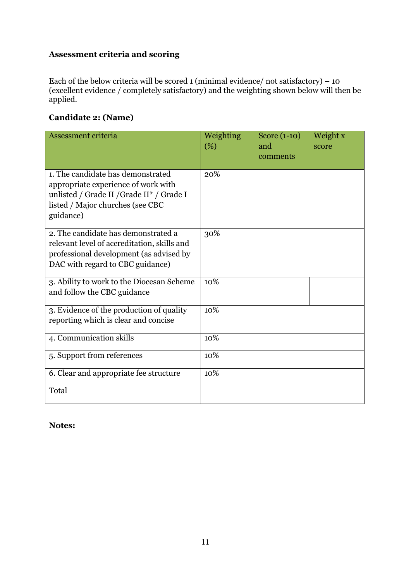### **Assessment criteria and scoring**

Each of the below criteria will be scored 1 (minimal evidence/ not satisfactory)  $-10$ (excellent evidence / completely satisfactory) and the weighting shown below will then be applied.

## **Candidate 2: (Name)**

| Assessment criteria                                                                                                                                                    | Weighting<br>(%) | Score (1-10)<br>and<br>comments | Weight x<br>score |
|------------------------------------------------------------------------------------------------------------------------------------------------------------------------|------------------|---------------------------------|-------------------|
| 1. The candidate has demonstrated<br>appropriate experience of work with<br>unlisted / Grade II / Grade II* / Grade I<br>listed / Major churches (see CBC<br>guidance) | 20%              |                                 |                   |
| 2. The candidate has demonstrated a<br>relevant level of accreditation, skills and<br>professional development (as advised by<br>DAC with regard to CBC guidance)      | 30%              |                                 |                   |
| 3. Ability to work to the Diocesan Scheme<br>and follow the CBC guidance                                                                                               | 10%              |                                 |                   |
| 3. Evidence of the production of quality<br>reporting which is clear and concise                                                                                       | 10%              |                                 |                   |
| 4. Communication skills                                                                                                                                                | 10%              |                                 |                   |
| 5. Support from references                                                                                                                                             | 10%              |                                 |                   |
| 6. Clear and appropriate fee structure                                                                                                                                 | 10%              |                                 |                   |
| Total                                                                                                                                                                  |                  |                                 |                   |

#### **Notes:**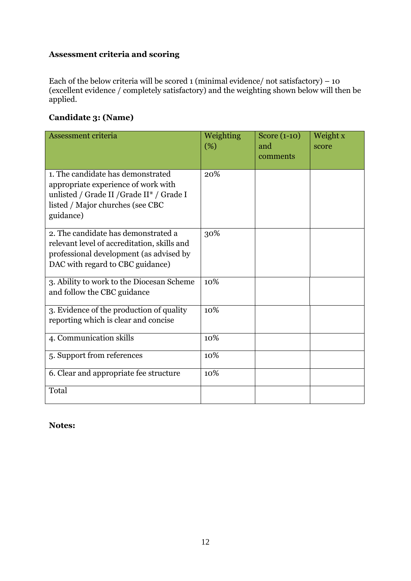### **Assessment criteria and scoring**

Each of the below criteria will be scored 1 (minimal evidence/ not satisfactory)  $-10$ (excellent evidence / completely satisfactory) and the weighting shown below will then be applied.

## **Candidate 3: (Name)**

| Assessment criteria                                                                                                                                                    | Weighting<br>(%) | Score (1-10)<br>and<br>comments | Weight x<br>score |
|------------------------------------------------------------------------------------------------------------------------------------------------------------------------|------------------|---------------------------------|-------------------|
| 1. The candidate has demonstrated<br>appropriate experience of work with<br>unlisted / Grade II / Grade II* / Grade I<br>listed / Major churches (see CBC<br>guidance) | 20%              |                                 |                   |
| 2. The candidate has demonstrated a<br>relevant level of accreditation, skills and<br>professional development (as advised by<br>DAC with regard to CBC guidance)      | 30%              |                                 |                   |
| 3. Ability to work to the Diocesan Scheme<br>and follow the CBC guidance                                                                                               | 10%              |                                 |                   |
| 3. Evidence of the production of quality<br>reporting which is clear and concise                                                                                       | 10%              |                                 |                   |
| 4. Communication skills                                                                                                                                                | 10%              |                                 |                   |
| 5. Support from references                                                                                                                                             | 10%              |                                 |                   |
| 6. Clear and appropriate fee structure                                                                                                                                 | 10%              |                                 |                   |
| Total                                                                                                                                                                  |                  |                                 |                   |

#### **Notes:**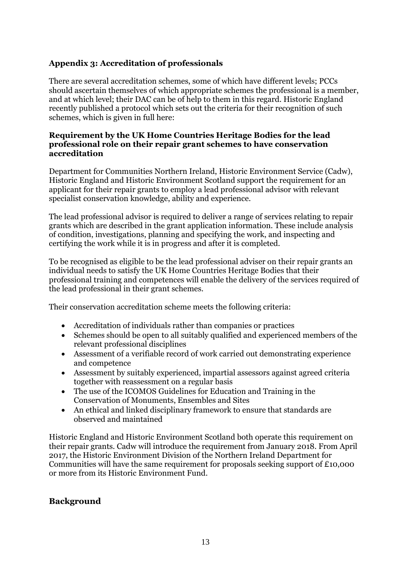#### **Appendix 3: Accreditation of professionals**

There are several accreditation schemes, some of which have different levels; PCCs should ascertain themselves of which appropriate schemes the professional is a member, and at which level; their DAC can be of help to them in this regard. Historic England recently published a protocol which sets out the criteria for their recognition of such schemes, which is given in full here:

#### **Requirement by the UK Home Countries Heritage Bodies for the lead professional role on their repair grant schemes to have conservation accreditation**

Department for Communities Northern Ireland, Historic Environment Service (Cadw), Historic England and Historic Environment Scotland support the requirement for an applicant for their repair grants to employ a lead professional advisor with relevant specialist conservation knowledge, ability and experience.

The lead professional advisor is required to deliver a range of services relating to repair grants which are described in the grant application information. These include analysis of condition, investigations, planning and specifying the work, and inspecting and certifying the work while it is in progress and after it is completed.

To be recognised as eligible to be the lead professional adviser on their repair grants an individual needs to satisfy the UK Home Countries Heritage Bodies that their professional training and competences will enable the delivery of the services required of the lead professional in their grant schemes.

Their conservation accreditation scheme meets the following criteria:

- Accreditation of individuals rather than companies or practices
- Schemes should be open to all suitably qualified and experienced members of the relevant professional disciplines
- Assessment of a verifiable record of work carried out demonstrating experience and competence
- Assessment by suitably experienced, impartial assessors against agreed criteria together with reassessment on a regular basis
- The use of the ICOMOS Guidelines for Education and Training in the Conservation of Monuments, Ensembles and Sites
- An ethical and linked disciplinary framework to ensure that standards are observed and maintained

Historic England and Historic Environment Scotland both operate this requirement on their repair grants. Cadw will introduce the requirement from January 2018. From April 2017, the Historic Environment Division of the Northern Ireland Department for Communities will have the same requirement for proposals seeking support of  $£10,000$ or more from its Historic Environment Fund.

#### **Background**